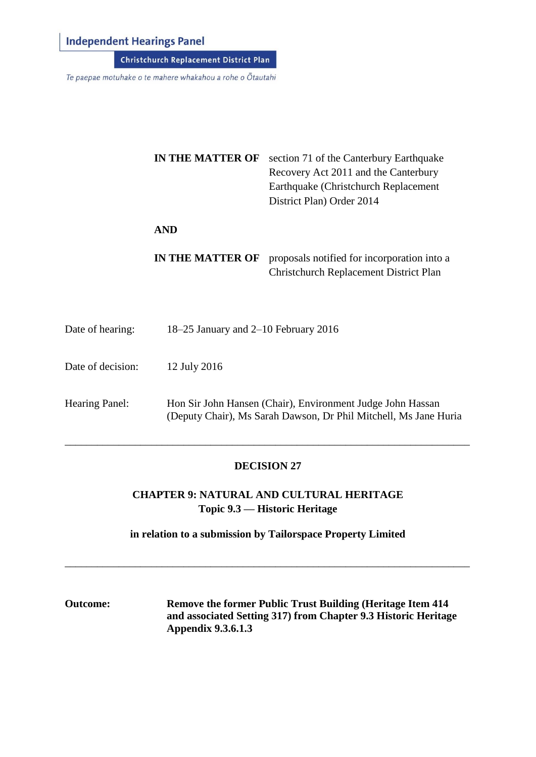# **Independent Hearings Panel**

Te paepae motuhake o te mahere whakahou a rohe o Ōtautahi

|                   | <b>IN THE MATTER OF</b>              | section 71 of the Canterbury Earthquake<br>Recovery Act 2011 and the Canterbury<br>Earthquake (Christchurch Replacement)<br>District Plan) Order 2014 |
|-------------------|--------------------------------------|-------------------------------------------------------------------------------------------------------------------------------------------------------|
|                   | <b>AND</b>                           |                                                                                                                                                       |
|                   | <b>IN THE MATTER OF</b>              | proposals notified for incorporation into a<br><b>Christchurch Replacement District Plan</b>                                                          |
| Date of hearing:  | 18–25 January and 2–10 February 2016 |                                                                                                                                                       |
| Date of decision: | 12 July 2016                         |                                                                                                                                                       |
| Hearing Panel:    |                                      | Hon Sir John Hansen (Chair), Environment Judge John Hassan<br>(Deputy Chair), Ms Sarah Dawson, Dr Phil Mitchell, Ms Jane Huria                        |

# **DECISION 27**

\_\_\_\_\_\_\_\_\_\_\_\_\_\_\_\_\_\_\_\_\_\_\_\_\_\_\_\_\_\_\_\_\_\_\_\_\_\_\_\_\_\_\_\_\_\_\_\_\_\_\_\_\_\_\_\_\_\_\_\_\_\_\_\_\_\_\_\_\_\_\_\_\_\_\_

**CHAPTER 9: NATURAL AND CULTURAL HERITAGE Topic 9.3 — Historic Heritage**

**in relation to a submission by Tailorspace Property Limited**

\_\_\_\_\_\_\_\_\_\_\_\_\_\_\_\_\_\_\_\_\_\_\_\_\_\_\_\_\_\_\_\_\_\_\_\_\_\_\_\_\_\_\_\_\_\_\_\_\_\_\_\_\_\_\_\_\_\_\_\_\_\_\_\_\_\_\_\_\_\_\_\_\_\_\_

**Outcome: Remove the former Public Trust Building (Heritage Item 414 and associated Setting 317) from Chapter 9.3 Historic Heritage Appendix 9.3.6.1.3**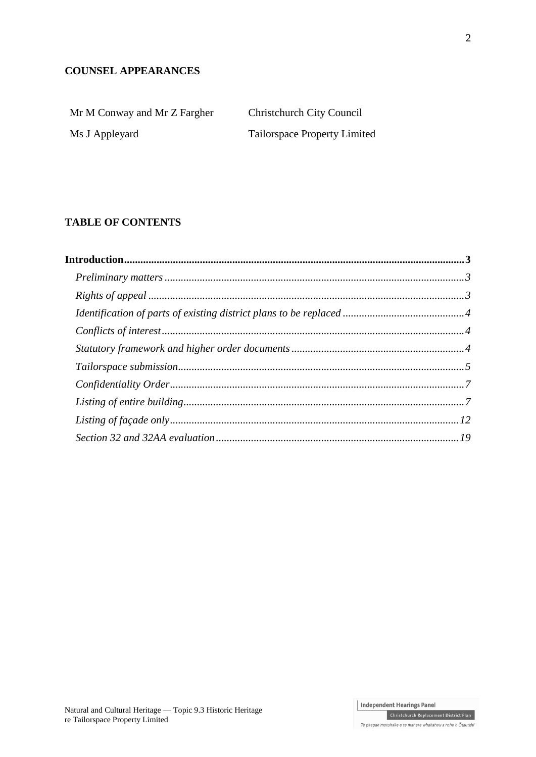# **COUNSEL APPEARANCES**

| Mr M Conway and Mr Z Fargher | Christchurch City Council           |
|------------------------------|-------------------------------------|
| Ms J Appleyard               | <b>Tailorspace Property Limited</b> |

# **TABLE OF CONTENTS**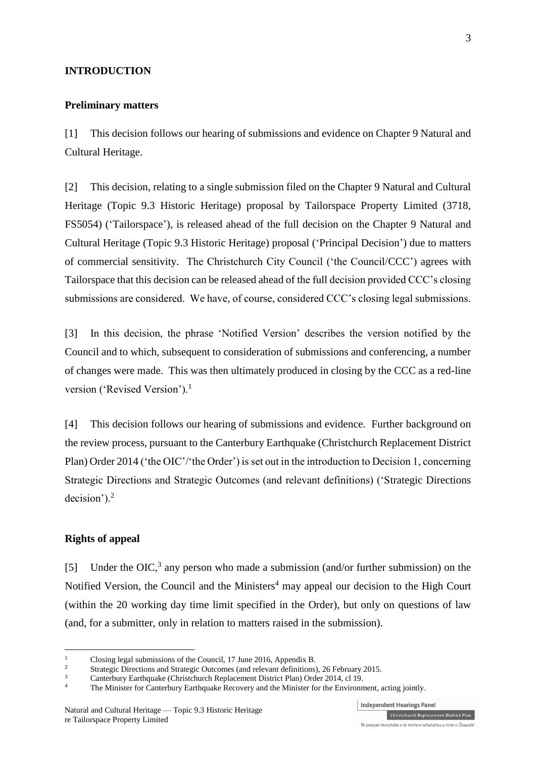#### **INTRODUCTION**

#### **Preliminary matters**

[1] This decision follows our hearing of submissions and evidence on Chapter 9 Natural and Cultural Heritage.

[2] This decision, relating to a single submission filed on the Chapter 9 Natural and Cultural Heritage (Topic 9.3 Historic Heritage) proposal by Tailorspace Property Limited (3718, FS5054) ('Tailorspace'), is released ahead of the full decision on the Chapter 9 Natural and Cultural Heritage (Topic 9.3 Historic Heritage) proposal ('Principal Decision') due to matters of commercial sensitivity. The Christchurch City Council ('the Council/CCC') agrees with Tailorspace that this decision can be released ahead of the full decision provided CCC's closing submissions are considered. We have, of course, considered CCC's closing legal submissions.

[3] In this decision, the phrase 'Notified Version' describes the version notified by the Council and to which, subsequent to consideration of submissions and conferencing, a number of changes were made. This was then ultimately produced in closing by the CCC as a red-line version ('Revised Version').<sup>1</sup>

[4] This decision follows our hearing of submissions and evidence. Further background on the review process, pursuant to the [Canterbury Earthquake \(Christchurch Replacement District](http://www.legislation.govt.nz/regulation/public/2014/0228/latest/DLM6190883.html?search=ts_act%40bill%40regulation%40deemedreg_Canterbury+Earthquake+%28Christchurch+Replacement+District+Plan%29+Order+2014+_resel_25_a&p=1)  [Plan\) Order 2014](http://www.legislation.govt.nz/regulation/public/2014/0228/latest/DLM6190883.html?search=ts_act%40bill%40regulation%40deemedreg_Canterbury+Earthquake+%28Christchurch+Replacement+District+Plan%29+Order+2014+_resel_25_a&p=1) ('the OIC'/'the Order') is set out in the introduction to Decision 1, concerning Strategic Directions and Strategic Outcomes (and relevant definitions) ('Strategic Directions decision'). $<sup>2</sup>$ </sup>

# **Rights of appeal**

<u>.</u>

[5] Under the OIC,<sup>3</sup> any person who made a submission (and/or further submission) on the Notified Version, the Council and the Ministers<sup>4</sup> may appeal our decision to the High Court (within the 20 working day time limit specified in the Order), but only on questions of law (and, for a submitter, only in relation to matters raised in the submission).

<sup>&</sup>lt;sup>1</sup> Closing legal submissions of the Council, 17 June 2016, Appendix B.

<sup>&</sup>lt;sup>2</sup><br>
2 [Strategic Directions and Strategic Outcomes \(and relevant definitions\), 26 February 2015.](http://www.chchplan.ihp.govt.nz/wp-content/uploads/2015/03/Strategic-Directions-and-Strategic-Outcomes-Decision.pdf)<br>
2 Contactivity Platforms Directions Directions Platforms 2014, al. 10.

<sup>&</sup>lt;sup>3</sup><br>[Canterbury Earthquake \(Christchurch Replacement District Plan\) Order 2014, cl 19.](http://www.legislation.govt.nz/regulation/public/2014/0228/latest/DLM6189997.html?search=ts_act%40bill%40regulation%40deemedreg_Canterbury+Earthquake+(Christchurch+Replacement+District+Plan)+Order+2014+_resel_25_a&p=1)<br>The Minister for Contenum: Forthquake Repeater and the Minister for the Environment

The Minister for Canterbury Earthquake Recovery and the Minister for the Environment, acting jointly.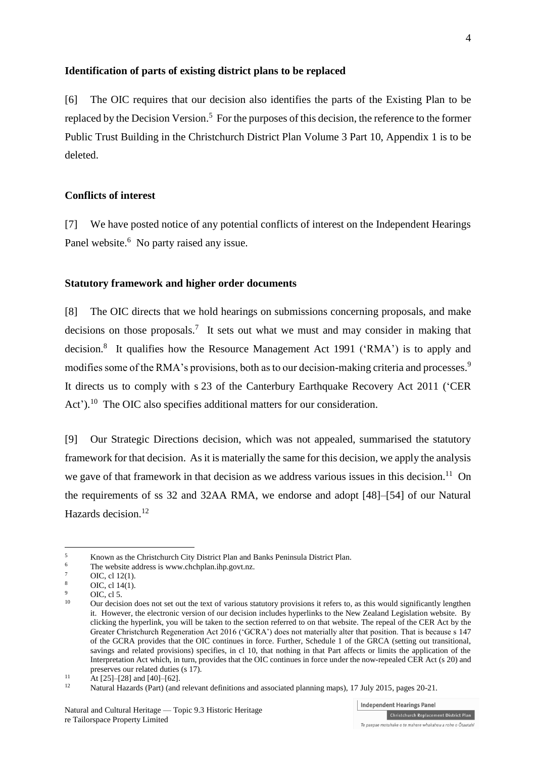#### **Identification of parts of existing district plans to be replaced**

[6] The OIC requires that our decision also identifies the parts of the Existing Plan to be replaced by the Decision Version.<sup>5</sup> For the purposes of this decision, the reference to the former Public Trust Building in the Christchurch District Plan Volume 3 Part 10, Appendix 1 is to be deleted.

# **Conflicts of interest**

[7] We have posted notice of any potential conflicts of interest on the Independent Hearings Panel website.<sup>6</sup> No party raised any issue.

#### **Statutory framework and higher order documents**

[8] The OIC directs that we hold hearings on submissions concerning proposals, and make decisions on those proposals.<sup>7</sup> It sets out what we must and may consider in making that decision.<sup>8</sup> It qualifies how the [Resource Management Act 1991](http://www.legislation.govt.nz/act/public/1991/0069/latest/DLM230265.html) ('RMA') is to apply and modifies some of the RMA's provisions, both as to our decision-making criteria and processes.<sup>9</sup> It directs us to comply with s 23 of the [Canterbury Earthquake Recovery Act 2011](http://www.legislation.govt.nz/act/public/2011/0012/latest/DLM3653522.html) ('CER Act').<sup>10</sup> The OIC also specifies additional matters for our consideration.

[9] Our Strategic Directions decision, which was not appealed, summarised the statutory framework for that decision. As it is materially the same for this decision, we apply the analysis we gave of that framework in that decision as we address various issues in this decision.<sup>11</sup> On the requirements of ss 32 and 32AA RMA, we endorse and adopt [48]–[54] of our Natural Hazards decision.<sup>12</sup>

<u>.</u>

<sup>&</sup>lt;sup>5</sup><br>Known as the Christchurch City District Plan and Banks Peninsula District Plan.<br>The website address is www.chchplan.jhp.govt.pz

The website address is [www.chchplan.ihp.govt.nz.](http://www.chchplan.ihp.govt.nz/)

 $\frac{7}{8}$  OIC, cl [12\(1\).](http://www.legislation.govt.nz/regulation/public/2014/0228/latest/DLM6191312.html?search=ts_act%40bill%40regulation%40deemedreg_Canterbury+Earthquake+(Christchurch+Replacement+District+Plan)+Order+2014+_resel_25_a&p=1)

 $\frac{8}{9}$  OIC[, cl 14\(1\).](http://www.legislation.govt.nz/regulation/public/2014/0228/latest/DLM6190449.html?search=ts_act%40bill%40regulation%40deemedreg_Canterbury+Earthquake+(Christchurch+Replacement+District+Plan)+Order+2014+_resel_25_a&p=1)

 $^{9}$  OIC, [cl 5.](http://www.legislation.govt.nz/regulation/public/2014/0228/latest/DLM6190439.html?search=ts_act%40bill%40regulation%40deemedreg_Canterbury+Earthquake+(Christchurch+Replacement+District+Plan)+Order+2014+_resel_25_a&p=1)

<sup>10</sup> Our decision does not set out the text of various statutory provisions it refers to, as this would significantly lengthen it. However, the electronic version of our decision includes hyperlinks to the New Zealand Legislation website. By clicking the hyperlink, you will be taken to the section referred to on that website. The repeal of the CER Act by the Greater Christchurch Regeneration Act 2016 ('GCRA') does not materially alter that position. That is because s 147 of the GCRA provides that the OIC continues in force. Further, Schedule 1 of the GRCA (setting out transitional, savings and related provisions) specifies, in cl 10, that nothing in that Part affects or limits the application of the Interpretation Act which, in turn, provides that the OIC continues in force under the now-repealed CER Act (s 20) and preserves our related duties (s 17).

<sup>&</sup>lt;sup>11</sup> At [25]–[28] and [40]–[62].

<sup>12</sup> [Natural Hazards \(Part\) \(and relevant definitions and associated planning maps\), 17 July 2015,](http://www.chchplan.ihp.govt.nz/wp-content/uploads/2015/03/Natural-Hazards-Part.pdf) pages 20-21.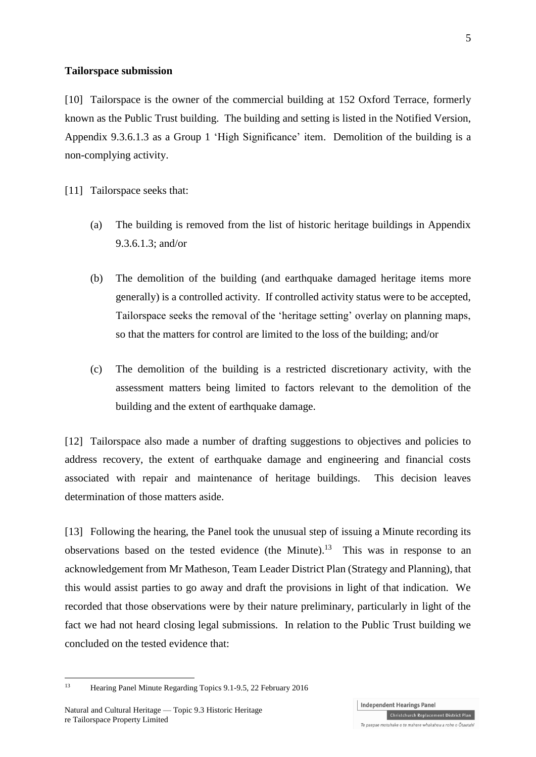#### **Tailorspace submission**

[10] Tailorspace is the owner of the commercial building at 152 Oxford Terrace, formerly known as the Public Trust building. The building and setting is listed in the Notified Version, Appendix 9.3.6.1.3 as a Group 1 'High Significance' item. Demolition of the building is a non-complying activity.

[11] Tailorspace seeks that:

- (a) The building is removed from the list of historic heritage buildings in Appendix 9.3.6.1.3; and/or
- (b) The demolition of the building (and earthquake damaged heritage items more generally) is a controlled activity. If controlled activity status were to be accepted, Tailorspace seeks the removal of the 'heritage setting' overlay on planning maps, so that the matters for control are limited to the loss of the building; and/or
- (c) The demolition of the building is a restricted discretionary activity, with the assessment matters being limited to factors relevant to the demolition of the building and the extent of earthquake damage.

[12] Tailorspace also made a number of drafting suggestions to objectives and policies to address recovery, the extent of earthquake damage and engineering and financial costs associated with repair and maintenance of heritage buildings. This decision leaves determination of those matters aside.

[13] Following the hearing, the Panel took the unusual step of issuing a Minute recording its observations based on the tested evidence (the Minute).<sup>13</sup> This was in response to an acknowledgement from Mr Matheson, Team Leader District Plan (Strategy and Planning), that this would assist parties to go away and draft the provisions in light of that indication. We recorded that those observations were by their nature preliminary, particularly in light of the fact we had not heard closing legal submissions. In relation to the Public Trust building we concluded on the tested evidence that:

1

<sup>13</sup> Hearing Panel Minute Regarding Topics 9.1-9.5, 22 February 2016

**Independent Hearings Panel** Christchurch Replacement District Plan Te paepae motuhake o te mahere whakahou a rohe o Ōtautahi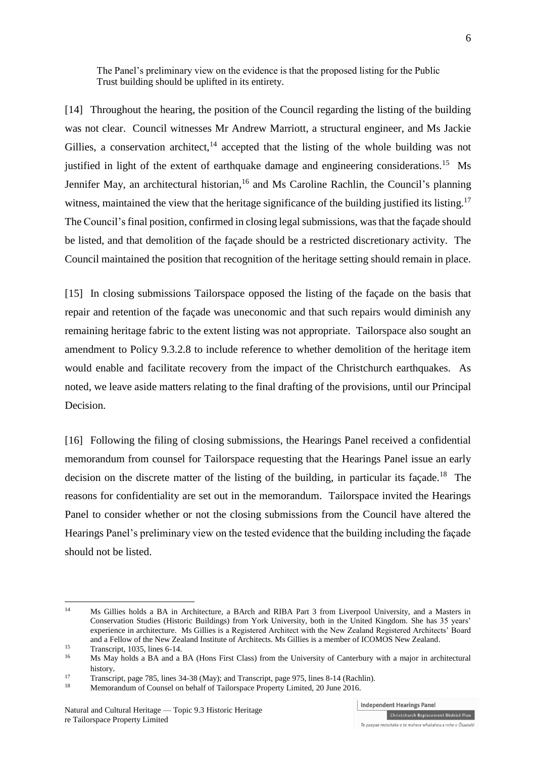The Panel's preliminary view on the evidence is that the proposed listing for the Public Trust building should be uplifted in its entirety.

[14] Throughout the hearing, the position of the Council regarding the listing of the building was not clear. Council witnesses Mr Andrew Marriott, a structural engineer, and Ms Jackie Gillies, a conservation architect,  $14$  accepted that the listing of the whole building was not justified in light of the extent of earthquake damage and engineering considerations.<sup>15</sup> Ms Jennifer May, an architectural historian, <sup>16</sup> and Ms Caroline Rachlin, the Council's planning witness, maintained the view that the heritage significance of the building justified its listing.<sup>17</sup> The Council's final position, confirmed in closing legal submissions, was that the façade should be listed, and that demolition of the façade should be a restricted discretionary activity. The Council maintained the position that recognition of the heritage setting should remain in place.

[15] In closing submissions Tailorspace opposed the listing of the façade on the basis that repair and retention of the façade was uneconomic and that such repairs would diminish any remaining heritage fabric to the extent listing was not appropriate. Tailorspace also sought an amendment to Policy 9.3.2.8 to include reference to whether demolition of the heritage item would enable and facilitate recovery from the impact of the Christchurch earthquakes. As noted, we leave aside matters relating to the final drafting of the provisions, until our Principal Decision.

[16] Following the filing of closing submissions, the Hearings Panel received a confidential memorandum from counsel for Tailorspace requesting that the Hearings Panel issue an early decision on the discrete matter of the listing of the building, in particular its façade.<sup>18</sup> The reasons for confidentiality are set out in the memorandum. Tailorspace invited the Hearings Panel to consider whether or not the closing submissions from the Council have altered the Hearings Panel's preliminary view on the tested evidence that the building including the façade should not be listed.

**Independent Hearings Panel** Christchurch Replacement District Plan

 $14$ <sup>14</sup> Ms Gillies holds a BA in Architecture, a BArch and RIBA Part 3 from Liverpool University, and a Masters in Conservation Studies (Historic Buildings) from York University, both in the United Kingdom. She has 35 years' experience in architecture. Ms Gillies is a Registered Architect with the New Zealand Registered Architects' Board and a Fellow of the New Zealand Institute of Architects. Ms Gillies is a member of ICOMOS New Zealand.

<sup>&</sup>lt;sup>15</sup> Transcript, 1035, lines 6-14.<br> $\frac{16}{16}$  Me May holds a PA and a

<sup>16</sup> Ms May holds a BA and a BA (Hons First Class) from the University of Canterbury with a major in architectural history.

<sup>17</sup> Transcript, page 785, lines 34-38 (May); and Transcript, page 975, lines 8-14 (Rachlin).

Memorandum of Counsel on behalf of Tailorspace Property Limited, 20 June 2016.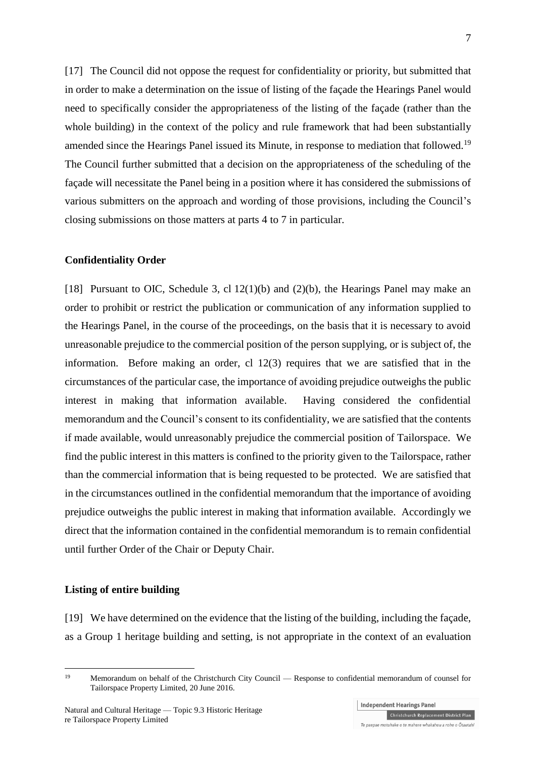[17] The Council did not oppose the request for confidentiality or priority, but submitted that in order to make a determination on the issue of listing of the façade the Hearings Panel would need to specifically consider the appropriateness of the listing of the façade (rather than the whole building) in the context of the policy and rule framework that had been substantially amended since the Hearings Panel issued its Minute, in response to mediation that followed.<sup>19</sup> The Council further submitted that a decision on the appropriateness of the scheduling of the façade will necessitate the Panel being in a position where it has considered the submissions of various submitters on the approach and wording of those provisions, including the Council's closing submissions on those matters at parts 4 to 7 in particular.

#### **Confidentiality Order**

[18] Pursuant to OIC, Schedule 3, cl 12(1)(b) and (2)(b), the Hearings Panel may make an order to prohibit or restrict the publication or communication of any information supplied to the Hearings Panel, in the course of the proceedings, on the basis that it is necessary to avoid unreasonable prejudice to the commercial position of the person supplying, or is subject of, the information. Before making an order, cl 12(3) requires that we are satisfied that in the circumstances of the particular case, the importance of avoiding prejudice outweighs the public interest in making that information available. Having considered the confidential memorandum and the Council's consent to its confidentiality, we are satisfied that the contents if made available, would unreasonably prejudice the commercial position of Tailorspace. We find the public interest in this matters is confined to the priority given to the Tailorspace, rather than the commercial information that is being requested to be protected. We are satisfied that in the circumstances outlined in the confidential memorandum that the importance of avoiding prejudice outweighs the public interest in making that information available. Accordingly we direct that the information contained in the confidential memorandum is to remain confidential until further Order of the Chair or Deputy Chair.

### **Listing of entire building**

[19] We have determined on the evidence that the listing of the building, including the façade, as a Group 1 heritage building and setting, is not appropriate in the context of an evaluation

 $19$ Memorandum on behalf of the Christchurch City Council — Response to confidential memorandum of counsel for Tailorspace Property Limited, 20 June 2016.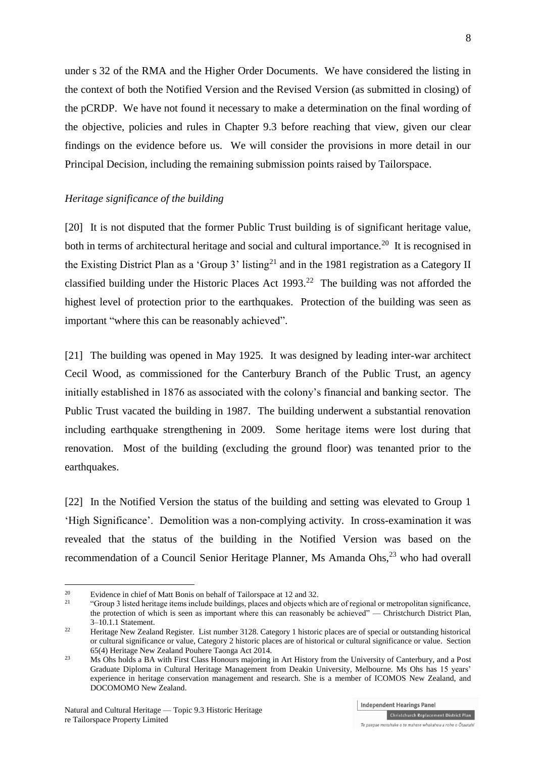under s 32 of the RMA and the Higher Order Documents. We have considered the listing in the context of both the Notified Version and the Revised Version (as submitted in closing) of the pCRDP. We have not found it necessary to make a determination on the final wording of the objective, policies and rules in Chapter 9.3 before reaching that view, given our clear findings on the evidence before us. We will consider the provisions in more detail in our Principal Decision, including the remaining submission points raised by Tailorspace.

#### *Heritage significance of the building*

[20] It is not disputed that the former Public Trust building is of significant heritage value, both in terms of architectural heritage and social and cultural importance.<sup>20</sup> It is recognised in the Existing District Plan as a 'Group 3' listing<sup>21</sup> and in the 1981 registration as a Category II classified building under the Historic Places Act  $1993$ <sup>22</sup> The building was not afforded the highest level of protection prior to the earthquakes. Protection of the building was seen as important "where this can be reasonably achieved".

[21] The building was opened in May 1925. It was designed by leading inter-war architect Cecil Wood, as commissioned for the Canterbury Branch of the Public Trust, an agency initially established in 1876 as associated with the colony's financial and banking sector. The Public Trust vacated the building in 1987. The building underwent a substantial renovation including earthquake strengthening in 2009. Some heritage items were lost during that renovation. Most of the building (excluding the ground floor) was tenanted prior to the earthquakes.

[22] In the Notified Version the status of the building and setting was elevated to Group 1 'High Significance'. Demolition was a non-complying activity. In cross-examination it was revealed that the status of the building in the Notified Version was based on the recommendation of a Council Senior Heritage Planner, Ms Amanda Ohs,<sup>23</sup> who had overall

1

<sup>&</sup>lt;sup>20</sup> Evidence in chief of Matt Bonis on behalf of Tailorspace at 12 and 32.<br>
"Crown 2 listed betters it was include buildings alonge and objects white

<sup>21</sup> "Group 3 listed heritage items include buildings, places and objects which are of regional or metropolitan significance, the protection of which is seen as important where this can reasonably be achieved" — Christchurch District Plan, 3–10.1.1 Statement.

<sup>&</sup>lt;sup>22</sup> Heritage New Zealand Register. List number 3128. Category 1 historic places are of special or outstanding historical or cultural significance or value, Category 2 historic places are of historical or cultural significance or value. Section 65(4) Heritage New Zealand Pouhere Taonga Act 2014.

<sup>&</sup>lt;sup>23</sup> Ms Ohs holds a BA with First Class Honours majoring in Art History from the University of Canterbury, and a Post Graduate Diploma in Cultural Heritage Management from Deakin University, Melbourne. Ms Ohs has 15 years' experience in heritage conservation management and research. She is a member of ICOMOS New Zealand, and DOCOMOMO New Zealand.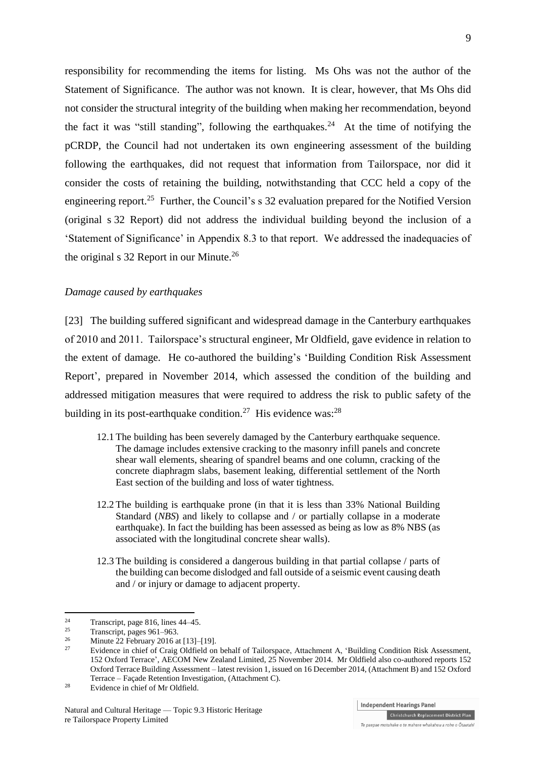responsibility for recommending the items for listing. Ms Ohs was not the author of the Statement of Significance. The author was not known. It is clear, however, that Ms Ohs did not consider the structural integrity of the building when making her recommendation, beyond the fact it was "still standing", following the earthquakes.<sup>24</sup> At the time of notifying the pCRDP, the Council had not undertaken its own engineering assessment of the building following the earthquakes, did not request that information from Tailorspace, nor did it consider the costs of retaining the building, notwithstanding that CCC held a copy of the engineering report.<sup>25</sup> Further, the Council's s 32 evaluation prepared for the Notified Version (original s 32 Report) did not address the individual building beyond the inclusion of a 'Statement of Significance' in Appendix 8.3 to that report. We addressed the inadequacies of the original s 32 Report in our Minute.<sup>26</sup>

# *Damage caused by earthquakes*

[23] The building suffered significant and widespread damage in the Canterbury earthquakes of 2010 and 2011. Tailorspace's structural engineer, Mr Oldfield, gave evidence in relation to the extent of damage. He co-authored the building's 'Building Condition Risk Assessment Report', prepared in November 2014, which assessed the condition of the building and addressed mitigation measures that were required to address the risk to public safety of the building in its post-earthquake condition.<sup>27</sup> His evidence was:<sup>28</sup>

- 12.1 The building has been severely damaged by the Canterbury earthquake sequence. The damage includes extensive cracking to the masonry infill panels and concrete shear wall elements, shearing of spandrel beams and one column, cracking of the concrete diaphragm slabs, basement leaking, differential settlement of the North East section of the building and loss of water tightness.
- 12.2 The building is earthquake prone (in that it is less than 33% National Building Standard (*NBS*) and likely to collapse and / or partially collapse in a moderate earthquake). In fact the building has been assessed as being as low as 8% NBS (as associated with the longitudinal concrete shear walls).
- 12.3 The building is considered a dangerous building in that partial collapse / parts of the building can become dislodged and fall outside of a seismic event causing death and / or injury or damage to adjacent property.

1

**Independent Hearings Panel** 

<sup>&</sup>lt;sup>24</sup> Transcript, page 816, lines  $44-45$ .

 $\frac{25}{26}$  Transcript, pages 961–963.

<sup>&</sup>lt;sup>26</sup> Minute 22 February 2016 at [13]-[19].

<sup>27</sup> Evidence in chief of Craig Oldfield on behalf of Tailorspace, Attachment A, 'Building Condition Risk Assessment, 152 Oxford Terrace', AECOM New Zealand Limited, 25 November 2014. Mr Oldfield also co-authored reports 152 Oxford Terrace Building Assessment – latest revision 1, issued on 16 December 2014, (Attachment B) and 152 Oxford Terrace – Façade Retention Investigation, (Attachment C).

<sup>&</sup>lt;sup>28</sup> Evidence in chief of Mr Oldfield.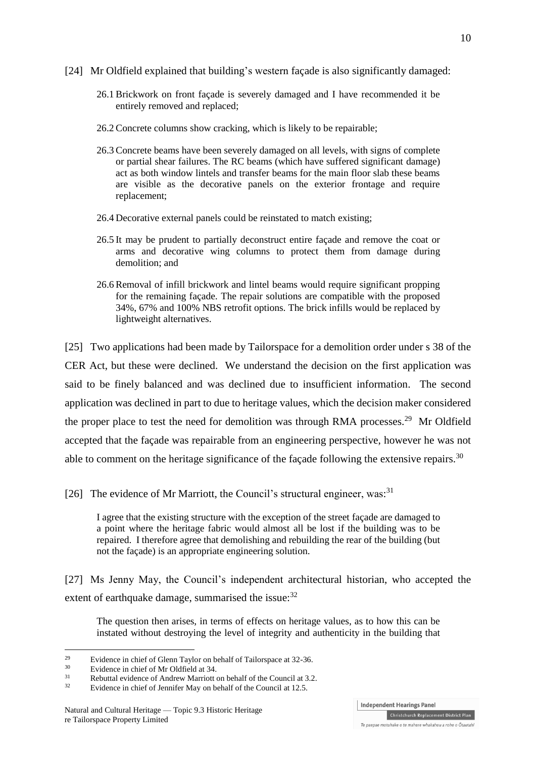- [24] Mr Oldfield explained that building's western façade is also significantly damaged:
	- 26.1 Brickwork on front façade is severely damaged and I have recommended it be entirely removed and replaced;
	- 26.2 Concrete columns show cracking, which is likely to be repairable;
	- 26.3 Concrete beams have been severely damaged on all levels, with signs of complete or partial shear failures. The RC beams (which have suffered significant damage) act as both window lintels and transfer beams for the main floor slab these beams are visible as the decorative panels on the exterior frontage and require replacement;
	- 26.4 Decorative external panels could be reinstated to match existing;
	- 26.5 It may be prudent to partially deconstruct entire façade and remove the coat or arms and decorative wing columns to protect them from damage during demolition; and
	- 26.6 Removal of infill brickwork and lintel beams would require significant propping for the remaining façade. The repair solutions are compatible with the proposed 34%, 67% and 100% NBS retrofit options. The brick infills would be replaced by lightweight alternatives.

[25] Two applications had been made by Tailorspace for a demolition order under s 38 of the CER Act, but these were declined. We understand the decision on the first application was said to be finely balanced and was declined due to insufficient information. The second application was declined in part to due to heritage values, which the decision maker considered the proper place to test the need for demolition was through RMA processes.<sup>29</sup> Mr Oldfield accepted that the façade was repairable from an engineering perspective, however he was not able to comment on the heritage significance of the façade following the extensive repairs.<sup>30</sup>

[26] The evidence of Mr Marriott, the Council's structural engineer, was:<sup>31</sup>

I agree that the existing structure with the exception of the street façade are damaged to a point where the heritage fabric would almost all be lost if the building was to be repaired. I therefore agree that demolishing and rebuilding the rear of the building (but not the façade) is an appropriate engineering solution.

[27] Ms Jenny May, the Council's independent architectural historian, who accepted the extent of earthquake damage, summarised the issue: $32$ 

The question then arises, in terms of effects on heritage values, as to how this can be instated without destroying the level of integrity and authenticity in the building that

<u>.</u>

**Independent Hearings Panel** 

<sup>&</sup>lt;sup>29</sup> Evidence in chief of Glenn Taylor on behalf of Tailorspace at 32-36.

 $30$  Evidence in chief of Mr Oldfield at 34.

<sup>&</sup>lt;sup>31</sup> Rebuttal evidence of Andrew Marriott on behalf of the Council at 3.2.<br> $R_{\text{c}}$ 

Evidence in chief of Jennifer May on behalf of the Council at 12.5.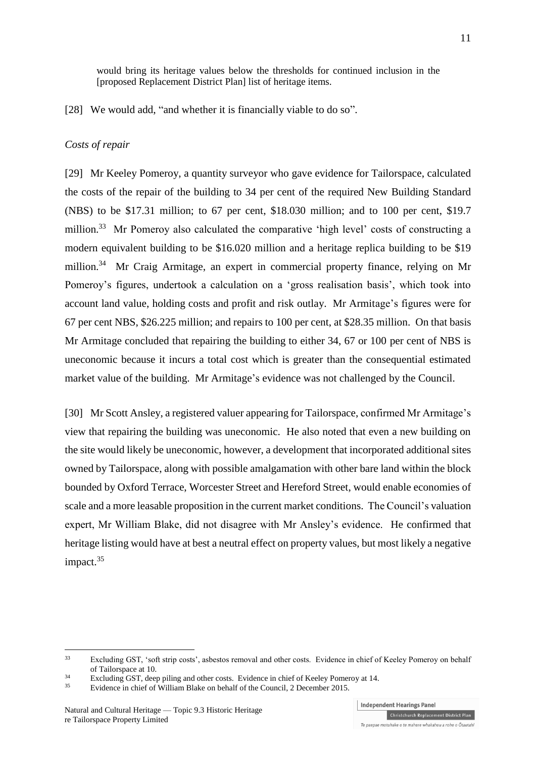would bring its heritage values below the thresholds for continued inclusion in the [proposed Replacement District Plan] list of heritage items.

[28] We would add, "and whether it is financially viable to do so".

### *Costs of repair*

[29] Mr Keeley Pomeroy, a quantity surveyor who gave evidence for Tailorspace, calculated the costs of the repair of the building to 34 per cent of the required New Building Standard (NBS) to be \$17.31 million; to 67 per cent, \$18.030 million; and to 100 per cent, \$19.7 million.<sup>33</sup> Mr Pomeroy also calculated the comparative 'high level' costs of constructing a modern equivalent building to be \$16.020 million and a heritage replica building to be \$19 million.<sup>34</sup> Mr Craig Armitage, an expert in commercial property finance, relying on Mr Pomeroy's figures, undertook a calculation on a 'gross realisation basis', which took into account land value, holding costs and profit and risk outlay. Mr Armitage's figures were for 67 per cent NBS, \$26.225 million; and repairs to 100 per cent, at \$28.35 million. On that basis Mr Armitage concluded that repairing the building to either 34, 67 or 100 per cent of NBS is uneconomic because it incurs a total cost which is greater than the consequential estimated market value of the building. Mr Armitage's evidence was not challenged by the Council.

[30] Mr Scott Ansley, a registered valuer appearing for Tailorspace, confirmed Mr Armitage's view that repairing the building was uneconomic. He also noted that even a new building on the site would likely be uneconomic, however, a development that incorporated additional sites owned by Tailorspace, along with possible amalgamation with other bare land within the block bounded by Oxford Terrace, Worcester Street and Hereford Street, would enable economies of scale and a more leasable proposition in the current market conditions. The Council's valuation expert, Mr William Blake, did not disagree with Mr Ansley's evidence. He confirmed that heritage listing would have at best a neutral effect on property values, but most likely a negative impact.<sup>35</sup>

<u>.</u>

**Independent Hearings Panel** 

<sup>&</sup>lt;sup>33</sup> Excluding GST, 'soft strip costs', asbestos removal and other costs. Evidence in chief of Keeley Pomeroy on behalf of Tailorspace at 10.

<sup>&</sup>lt;sup>34</sup><br>Excluding GST, deep piling and other costs. Evidence in chief of Keeley Pomeroy at 14.

Evidence in chief of William Blake on behalf of the Council, 2 December 2015.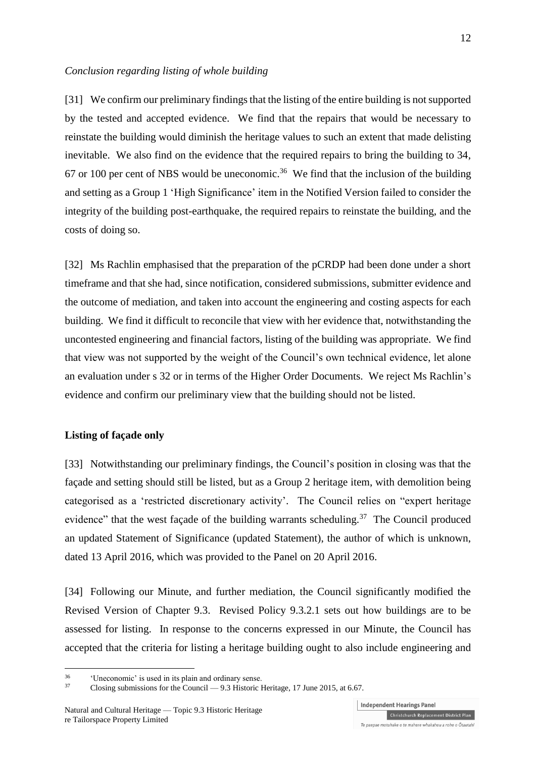#### *Conclusion regarding listing of whole building*

[31] We confirm our preliminary findings that the listing of the entire building is not supported by the tested and accepted evidence. We find that the repairs that would be necessary to reinstate the building would diminish the heritage values to such an extent that made delisting inevitable. We also find on the evidence that the required repairs to bring the building to 34, 67 or 100 per cent of NBS would be uneconomic.<sup>36</sup> We find that the inclusion of the building and setting as a Group 1 'High Significance' item in the Notified Version failed to consider the integrity of the building post-earthquake, the required repairs to reinstate the building, and the costs of doing so.

[32] Ms Rachlin emphasised that the preparation of the pCRDP had been done under a short timeframe and that she had, since notification, considered submissions, submitter evidence and the outcome of mediation, and taken into account the engineering and costing aspects for each building. We find it difficult to reconcile that view with her evidence that, notwithstanding the uncontested engineering and financial factors, listing of the building was appropriate. We find that view was not supported by the weight of the Council's own technical evidence, let alone an evaluation under s 32 or in terms of the Higher Order Documents. We reject Ms Rachlin's evidence and confirm our preliminary view that the building should not be listed.

# **Listing of façade only**

<u>.</u>

[33] Notwithstanding our preliminary findings, the Council's position in closing was that the façade and setting should still be listed, but as a Group 2 heritage item, with demolition being categorised as a 'restricted discretionary activity'. The Council relies on "expert heritage evidence" that the west facade of the building warrants scheduling.<sup>37</sup> The Council produced an updated Statement of Significance (updated Statement), the author of which is unknown, dated 13 April 2016, which was provided to the Panel on 20 April 2016.

[34] Following our Minute, and further mediation, the Council significantly modified the Revised Version of Chapter 9.3. Revised Policy 9.3.2.1 sets out how buildings are to be assessed for listing. In response to the concerns expressed in our Minute, the Council has accepted that the criteria for listing a heritage building ought to also include engineering and

<sup>&</sup>lt;sup>36</sup>  $\frac{36}{}$  'Uneconomic' is used in its plain and ordinary sense.

<sup>37</sup> Closing submissions for the Council — 9.3 Historic Heritage, 17 June 2015, at 6.67.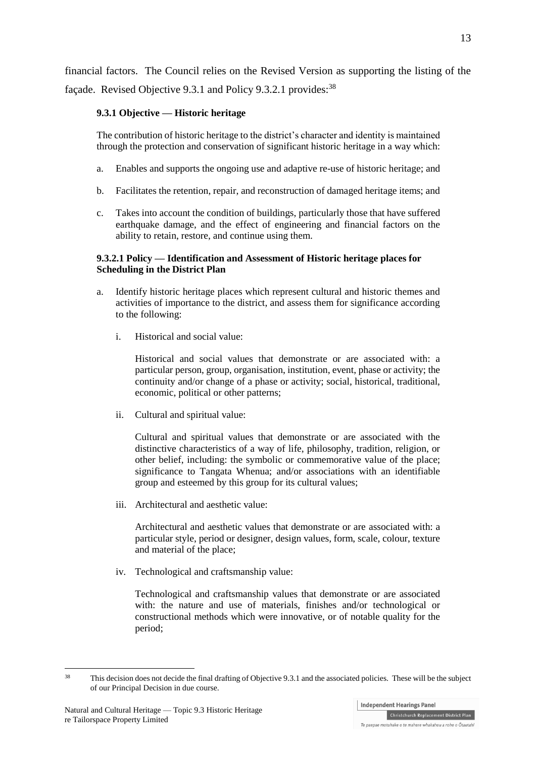financial factors. The Council relies on the Revised Version as supporting the listing of the façade. Revised Objective 9.3.1 and Policy 9.3.2.1 provides:<sup>38</sup>

# **9.3.1 Objective — Historic heritage**

The contribution of historic heritage to the district's character and identity is maintained through the protection and conservation of significant historic heritage in a way which:

- a. Enables and supports the ongoing use and adaptive re-use of historic heritage; and
- b. Facilitates the retention, repair, and reconstruction of damaged heritage items; and
- c. Takes into account the condition of buildings, particularly those that have suffered earthquake damage, and the effect of engineering and financial factors on the ability to retain, restore, and continue using them.

# **9.3.2.1 Policy — Identification and Assessment of Historic heritage places for Scheduling in the District Plan**

- a. Identify historic heritage places which represent cultural and historic themes and activities of importance to the district, and assess them for significance according to the following:
	- i. Historical and social value:

Historical and social values that demonstrate or are associated with: a particular person, group, organisation, institution, event, phase or activity; the continuity and/or change of a phase or activity; social, historical, traditional, economic, political or other patterns;

ii. Cultural and spiritual value:

Cultural and spiritual values that demonstrate or are associated with the distinctive characteristics of a way of life, philosophy, tradition, religion, or other belief, including: the symbolic or commemorative value of the place; significance to Tangata Whenua; and/or associations with an identifiable group and esteemed by this group for its cultural values;

iii. Architectural and aesthetic value:

Architectural and aesthetic values that demonstrate or are associated with: a particular style, period or designer, design values, form, scale, colour, texture and material of the place;

iv. Technological and craftsmanship value:

Technological and craftsmanship values that demonstrate or are associated with: the nature and use of materials, finishes and/or technological or constructional methods which were innovative, or of notable quality for the period;

<sup>&</sup>lt;u>.</u> <sup>38</sup> This decision does not decide the final drafting of Objective 9.3.1 and the associated policies. These will be the subject of our Principal Decision in due course.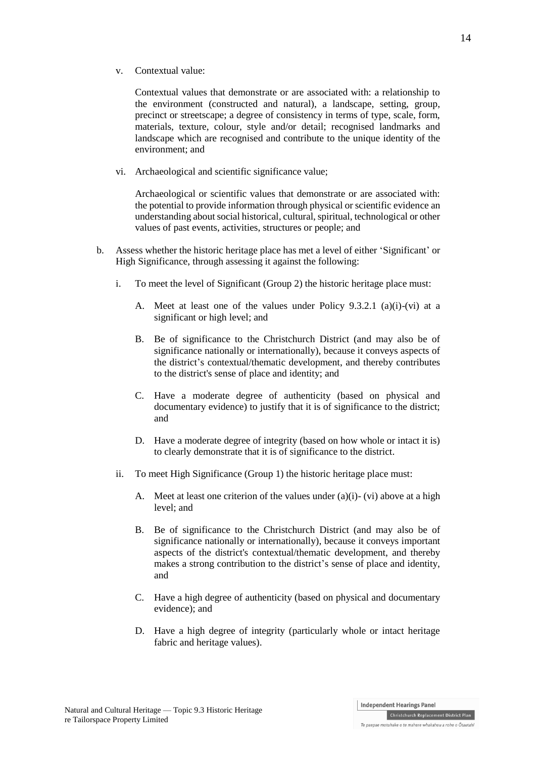Contextual values that demonstrate or are associated with: a relationship to the environment (constructed and natural), a landscape, setting, group, precinct or streetscape; a degree of consistency in terms of type, scale, form, materials, texture, colour, style and/or detail; recognised landmarks and landscape which are recognised and contribute to the unique identity of the environment; and

vi. Archaeological and scientific significance value;

Archaeological or scientific values that demonstrate or are associated with: the potential to provide information through physical or scientific evidence an understanding about social historical, cultural, spiritual, technological or other values of past events, activities, structures or people; and

- b. Assess whether the historic heritage place has met a level of either 'Significant' or High Significance, through assessing it against the following:
	- i. To meet the level of Significant (Group 2) the historic heritage place must:
		- A. Meet at least one of the values under Policy 9.3.2.1 (a)(i)-(vi) at a significant or high level; and
		- B. Be of significance to the Christchurch District (and may also be of significance nationally or internationally), because it conveys aspects of the district's contextual/thematic development, and thereby contributes to the district's sense of place and identity; and
		- C. Have a moderate degree of authenticity (based on physical and documentary evidence) to justify that it is of significance to the district; and
		- D. Have a moderate degree of integrity (based on how whole or intact it is) to clearly demonstrate that it is of significance to the district.
	- ii. To meet High Significance (Group 1) the historic heritage place must:
		- A. Meet at least one criterion of the values under  $(a)(i)$   $(vi)$  above at a high level; and
		- B. Be of significance to the Christchurch District (and may also be of significance nationally or internationally), because it conveys important aspects of the district's contextual/thematic development, and thereby makes a strong contribution to the district's sense of place and identity, and
		- C. Have a high degree of authenticity (based on physical and documentary evidence); and
		- D. Have a high degree of integrity (particularly whole or intact heritage fabric and heritage values).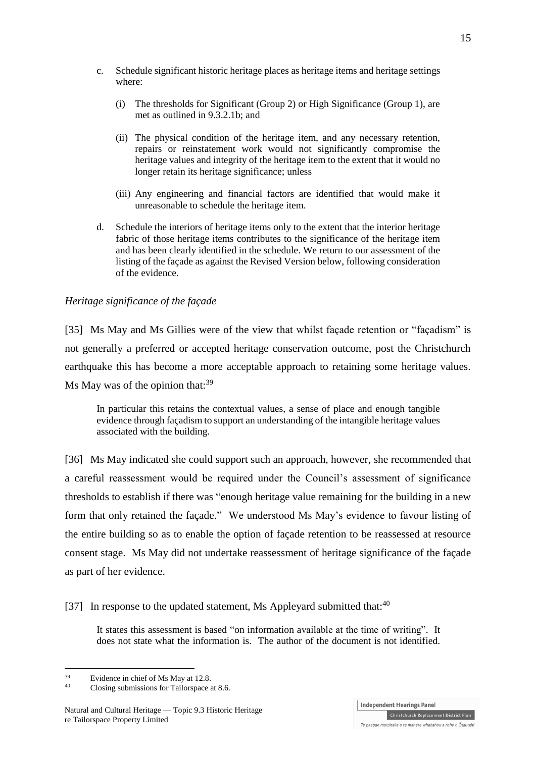- (i) The thresholds for Significant (Group 2) or High Significance (Group 1), are met as outlined in 9.3.2.1b; and
- (ii) The physical condition of the heritage item, and any necessary retention, repairs or reinstatement work would not significantly compromise the heritage values and integrity of the heritage item to the extent that it would no longer retain its heritage significance; unless
- (iii) Any engineering and financial factors are identified that would make it unreasonable to schedule the heritage item.
- d. Schedule the interiors of heritage items only to the extent that the interior heritage fabric of those heritage items contributes to the significance of the heritage item and has been clearly identified in the schedule. We return to our assessment of the listing of the façade as against the Revised Version below, following consideration of the evidence.

# *Heritage significance of the façade*

[35] Ms May and Ms Gillies were of the view that whilst facade retention or "facadism" is not generally a preferred or accepted heritage conservation outcome, post the Christchurch earthquake this has become a more acceptable approach to retaining some heritage values. Ms May was of the opinion that: $39$ 

In particular this retains the contextual values, a sense of place and enough tangible evidence through façadism to support an understanding of the intangible heritage values associated with the building.

[36] Ms May indicated she could support such an approach, however, she recommended that a careful reassessment would be required under the Council's assessment of significance thresholds to establish if there was "enough heritage value remaining for the building in a new form that only retained the façade." We understood Ms May's evidence to favour listing of the entire building so as to enable the option of façade retention to be reassessed at resource consent stage. Ms May did not undertake reassessment of heritage significance of the façade as part of her evidence.

[37] In response to the updated statement, Ms Appleyard submitted that: $40$ 

It states this assessment is based "on information available at the time of writing". It does not state what the information is. The author of the document is not identified.

**Independent Hearings Panel** Christchurch Replacement District Plan Te paepae motuhake o te mahere whakahou a rohe o Ōtautahi

<sup>&</sup>lt;u>.</u>  $^{39}$  Evidence in chief of Ms May at 12.8.<br> $^{40}$  Closing submissions for Tsilermace of

Closing submissions for Tailorspace at 8.6.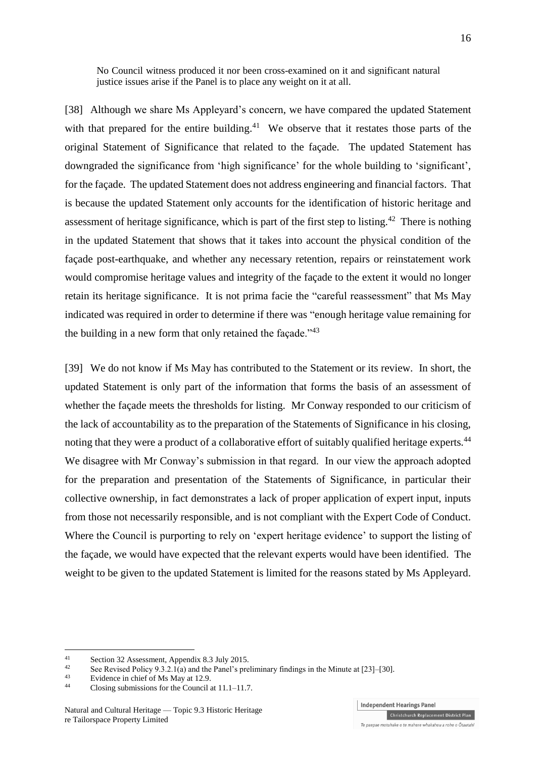No Council witness produced it nor been cross-examined on it and significant natural justice issues arise if the Panel is to place any weight on it at all.

[38] Although we share Ms Appleyard's concern, we have compared the updated Statement with that prepared for the entire building.<sup>41</sup> We observe that it restates those parts of the original Statement of Significance that related to the façade. The updated Statement has downgraded the significance from 'high significance' for the whole building to 'significant', for the façade. The updated Statement does not address engineering and financial factors. That is because the updated Statement only accounts for the identification of historic heritage and assessment of heritage significance, which is part of the first step to listing.<sup>42</sup> There is nothing in the updated Statement that shows that it takes into account the physical condition of the façade post-earthquake, and whether any necessary retention, repairs or reinstatement work would compromise heritage values and integrity of the façade to the extent it would no longer retain its heritage significance. It is not prima facie the "careful reassessment" that Ms May indicated was required in order to determine if there was "enough heritage value remaining for the building in a new form that only retained the façade.<sup> $143$ </sup>

[39] We do not know if Ms May has contributed to the Statement or its review. In short, the updated Statement is only part of the information that forms the basis of an assessment of whether the façade meets the thresholds for listing. Mr Conway responded to our criticism of the lack of accountability as to the preparation of the Statements of Significance in his closing, noting that they were a product of a collaborative effort of suitably qualified heritage experts.<sup>44</sup> We disagree with Mr Conway's submission in that regard. In our view the approach adopted for the preparation and presentation of the Statements of Significance, in particular their collective ownership, in fact demonstrates a lack of proper application of expert input, inputs from those not necessarily responsible, and is not compliant with the Expert Code of Conduct. Where the Council is purporting to rely on 'expert heritage evidence' to support the listing of the façade, we would have expected that the relevant experts would have been identified. The weight to be given to the updated Statement is limited for the reasons stated by Ms Appleyard.

<u>.</u>

<sup>41</sup> Section 32 Assessment, Appendix 8.3 July 2015.

<sup>&</sup>lt;sup>42</sup> See Revised Policy 9.3.2.1(a) and the Panel's preliminary findings in the Minute at [23]–[30].

 $^{43}$  Evidence in chief of Ms May at 12.9.<br> $^{44}$  Closing submissions for the Council

Closing submissions for the Council at  $11.1-11.7$ .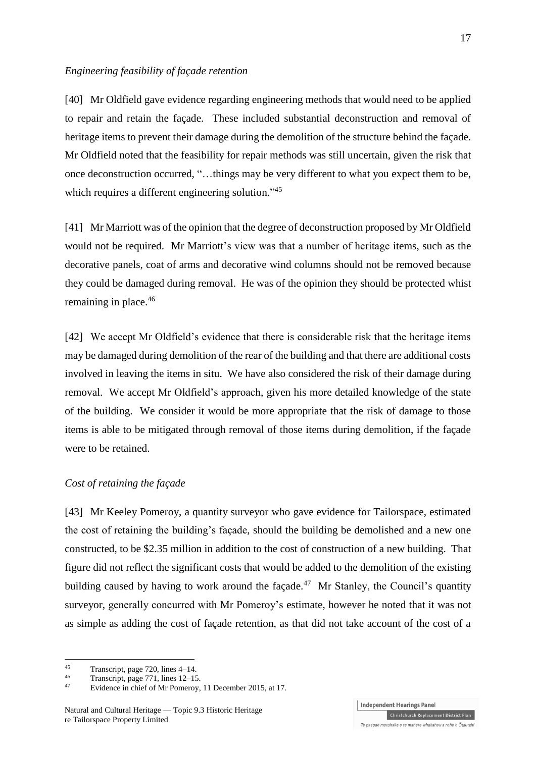#### *Engineering feasibility of façade retention*

[40] Mr Oldfield gave evidence regarding engineering methods that would need to be applied to repair and retain the façade. These included substantial deconstruction and removal of heritage items to prevent their damage during the demolition of the structure behind the façade. Mr Oldfield noted that the feasibility for repair methods was still uncertain, given the risk that once deconstruction occurred, "…things may be very different to what you expect them to be, which requires a different engineering solution."<sup>45</sup>

[41] Mr Marriott was of the opinion that the degree of deconstruction proposed by Mr Oldfield would not be required. Mr Marriott's view was that a number of heritage items, such as the decorative panels, coat of arms and decorative wind columns should not be removed because they could be damaged during removal. He was of the opinion they should be protected whist remaining in place. 46

[42] We accept Mr Oldfield's evidence that there is considerable risk that the heritage items may be damaged during demolition of the rear of the building and that there are additional costs involved in leaving the items in situ. We have also considered the risk of their damage during removal. We accept Mr Oldfield's approach, given his more detailed knowledge of the state of the building. We consider it would be more appropriate that the risk of damage to those items is able to be mitigated through removal of those items during demolition, if the façade were to be retained.

# *Cost of retaining the façade*

[43] Mr Keeley Pomeroy, a quantity surveyor who gave evidence for Tailorspace, estimated the cost of retaining the building's façade, should the building be demolished and a new one constructed, to be \$2.35 million in addition to the cost of construction of a new building. That figure did not reflect the significant costs that would be added to the demolition of the existing building caused by having to work around the façade.<sup>47</sup> Mr Stanley, the Council's quantity surveyor, generally concurred with Mr Pomeroy's estimate, however he noted that it was not as simple as adding the cost of façade retention, as that did not take account of the cost of a

1

<sup>45</sup> Transcript, page 720, lines  $4-14$ .

<sup>&</sup>lt;sup>46</sup> Transcript, page 771, lines  $12-15$ .

Evidence in chief of Mr Pomeroy, 11 December 2015, at 17.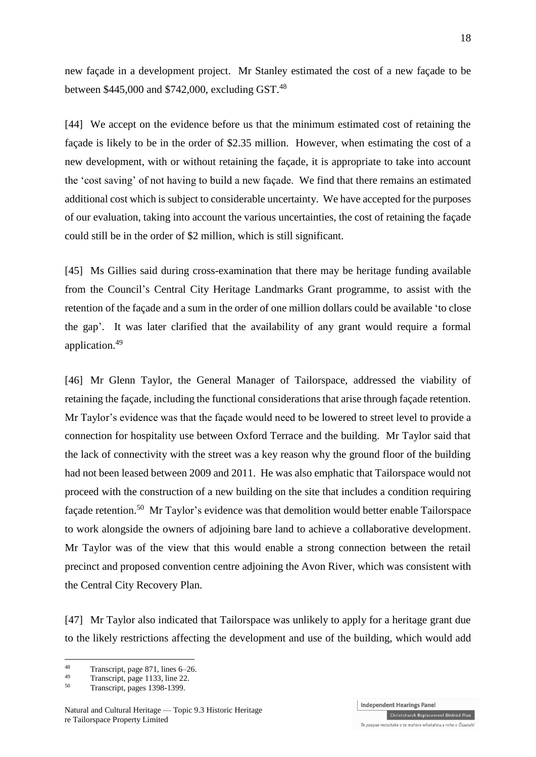new façade in a development project. Mr Stanley estimated the cost of a new façade to be between \$445,000 and \$742,000, excluding GST. $^{48}$ 

[44] We accept on the evidence before us that the minimum estimated cost of retaining the façade is likely to be in the order of \$2.35 million. However, when estimating the cost of a new development, with or without retaining the façade, it is appropriate to take into account the 'cost saving' of not having to build a new façade. We find that there remains an estimated additional cost which is subject to considerable uncertainty. We have accepted for the purposes of our evaluation, taking into account the various uncertainties, the cost of retaining the façade could still be in the order of \$2 million, which is still significant.

[45] Ms Gillies said during cross-examination that there may be heritage funding available from the Council's Central City Heritage Landmarks Grant programme, to assist with the retention of the façade and a sum in the order of one million dollars could be available 'to close the gap'. It was later clarified that the availability of any grant would require a formal application.<sup>49</sup>

[46] Mr Glenn Taylor, the General Manager of Tailorspace, addressed the viability of retaining the façade, including the functional considerations that arise through façade retention. Mr Taylor's evidence was that the façade would need to be lowered to street level to provide a connection for hospitality use between Oxford Terrace and the building. Mr Taylor said that the lack of connectivity with the street was a key reason why the ground floor of the building had not been leased between 2009 and 2011. He was also emphatic that Tailorspace would not proceed with the construction of a new building on the site that includes a condition requiring façade retention.<sup>50</sup> Mr Taylor's evidence was that demolition would better enable Tailorspace to work alongside the owners of adjoining bare land to achieve a collaborative development. Mr Taylor was of the view that this would enable a strong connection between the retail precinct and proposed convention centre adjoining the Avon River, which was consistent with the Central City Recovery Plan.

[47] Mr Taylor also indicated that Tailorspace was unlikely to apply for a heritage grant due to the likely restrictions affecting the development and use of the building, which would add

1

**Independent Hearings Panel** Christchurch Replacement District Plan Te paepae motuhake o te mahere whakahou a rohe o Ōtautahi

<sup>&</sup>lt;sup>48</sup> Transcript, page 871, lines 6–26.

 $^{49}$  Transcript, page 1133, line 22.

Transcript, pages 1398-1399.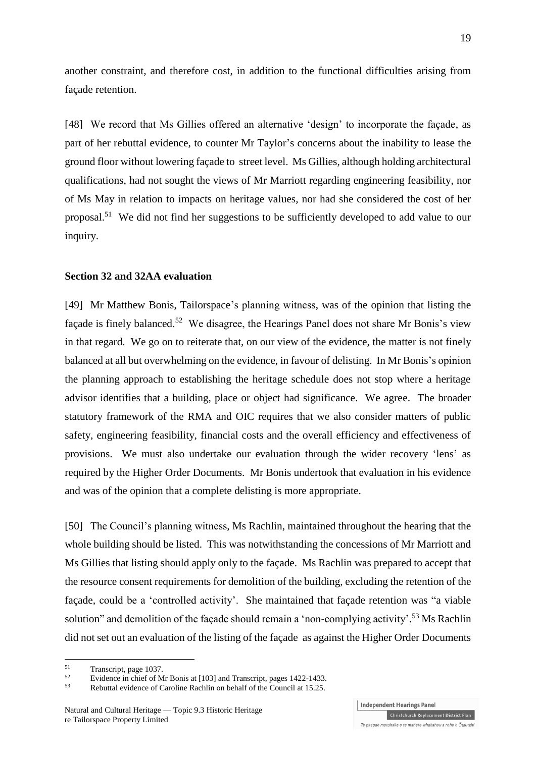another constraint, and therefore cost, in addition to the functional difficulties arising from façade retention.

[48] We record that Ms Gillies offered an alternative 'design' to incorporate the facade, as part of her rebuttal evidence, to counter Mr Taylor's concerns about the inability to lease the ground floor without lowering façade to street level. Ms Gillies, although holding architectural qualifications, had not sought the views of Mr Marriott regarding engineering feasibility, nor of Ms May in relation to impacts on heritage values, nor had she considered the cost of her proposal.<sup>51</sup> We did not find her suggestions to be sufficiently developed to add value to our inquiry.

#### **Section 32 and 32AA evaluation**

[49] Mr Matthew Bonis, Tailorspace's planning witness, was of the opinion that listing the façade is finely balanced.<sup>52</sup> We disagree, the Hearings Panel does not share Mr Bonis's view in that regard. We go on to reiterate that, on our view of the evidence, the matter is not finely balanced at all but overwhelming on the evidence, in favour of delisting. In Mr Bonis's opinion the planning approach to establishing the heritage schedule does not stop where a heritage advisor identifies that a building, place or object had significance. We agree. The broader statutory framework of the RMA and OIC requires that we also consider matters of public safety, engineering feasibility, financial costs and the overall efficiency and effectiveness of provisions. We must also undertake our evaluation through the wider recovery 'lens' as required by the Higher Order Documents. Mr Bonis undertook that evaluation in his evidence and was of the opinion that a complete delisting is more appropriate.

[50] The Council's planning witness, Ms Rachlin, maintained throughout the hearing that the whole building should be listed. This was notwithstanding the concessions of Mr Marriott and Ms Gillies that listing should apply only to the façade. Ms Rachlin was prepared to accept that the resource consent requirements for demolition of the building, excluding the retention of the façade, could be a 'controlled activity'. She maintained that façade retention was "a viable solution" and demolition of the façade should remain a 'non-complying activity'.<sup>53</sup> Ms Rachlin did not set out an evaluation of the listing of the façade as against the Higher Order Documents

1

 $^{51}$  Transcript, page 1037.

 $52$  Evidence in chief of Mr Bonis at [103] and Transcript, pages 1422-1433.

Rebuttal evidence of Caroline Rachlin on behalf of the Council at 15.25.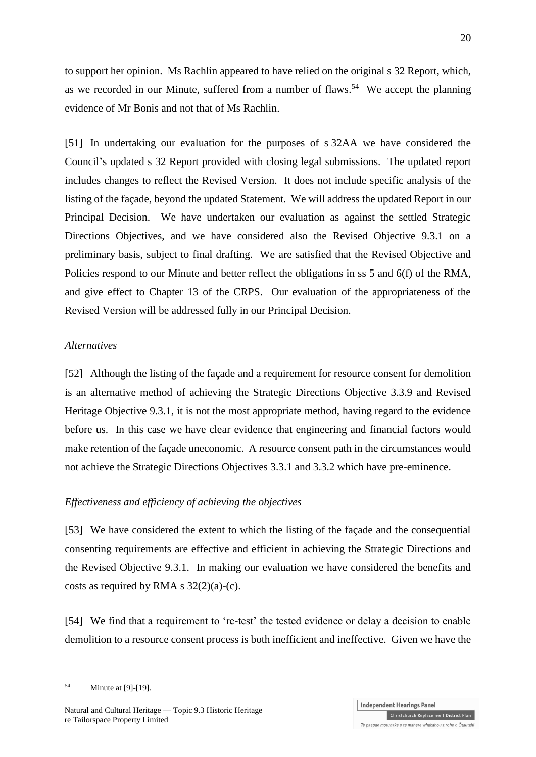to support her opinion. Ms Rachlin appeared to have relied on the original s 32 Report, which, as we recorded in our Minute, suffered from a number of flaws.<sup>54</sup> We accept the planning evidence of Mr Bonis and not that of Ms Rachlin.

[51] In undertaking our evaluation for the purposes of s 32AA we have considered the Council's updated s 32 Report provided with closing legal submissions. The updated report includes changes to reflect the Revised Version. It does not include specific analysis of the listing of the façade, beyond the updated Statement. We will address the updated Report in our Principal Decision. We have undertaken our evaluation as against the settled Strategic Directions Objectives, and we have considered also the Revised Objective 9.3.1 on a preliminary basis, subject to final drafting. We are satisfied that the Revised Objective and Policies respond to our Minute and better reflect the obligations in ss 5 and 6(f) of the RMA, and give effect to Chapter 13 of the CRPS. Our evaluation of the appropriateness of the Revised Version will be addressed fully in our Principal Decision.

#### *Alternatives*

[52] Although the listing of the façade and a requirement for resource consent for demolition is an alternative method of achieving the Strategic Directions Objective 3.3.9 and Revised Heritage Objective 9.3.1, it is not the most appropriate method, having regard to the evidence before us. In this case we have clear evidence that engineering and financial factors would make retention of the façade uneconomic. A resource consent path in the circumstances would not achieve the Strategic Directions Objectives 3.3.1 and 3.3.2 which have pre-eminence.

# *Effectiveness and efficiency of achieving the objectives*

[53] We have considered the extent to which the listing of the façade and the consequential consenting requirements are effective and efficient in achieving the Strategic Directions and the Revised Objective 9.3.1. In making our evaluation we have considered the benefits and costs as required by RMA s  $32(2)(a)-(c)$ .

[54] We find that a requirement to 're-test' the tested evidence or delay a decision to enable demolition to a resource consent process is both inefficient and ineffective. Given we have the

<sup>1</sup> <sup>54</sup> Minute at [9]-[19].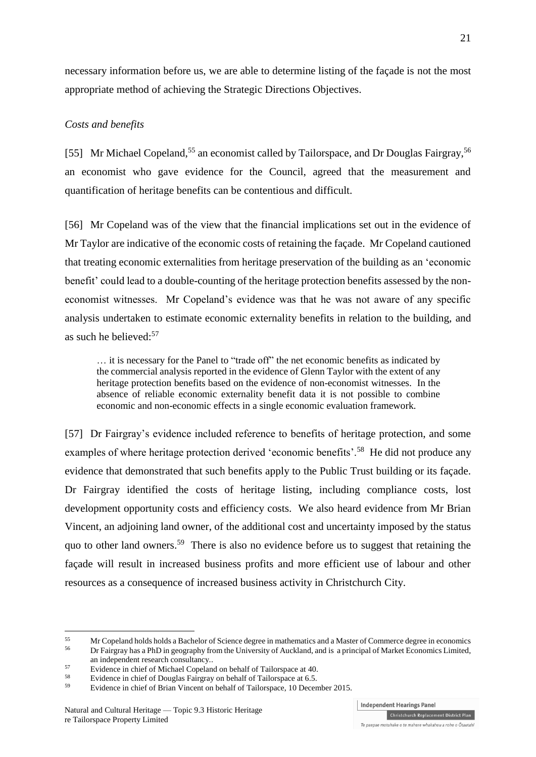necessary information before us, we are able to determine listing of the façade is not the most appropriate method of achieving the Strategic Directions Objectives.

## *Costs and benefits*

[55] Mr Michael Copeland,<sup>55</sup> an economist called by Tailorspace, and Dr Douglas Fairgray,<sup>56</sup> an economist who gave evidence for the Council, agreed that the measurement and quantification of heritage benefits can be contentious and difficult.

[56] Mr Copeland was of the view that the financial implications set out in the evidence of Mr Taylor are indicative of the economic costs of retaining the façade. Mr Copeland cautioned that treating economic externalities from heritage preservation of the building as an 'economic benefit' could lead to a double-counting of the heritage protection benefits assessed by the noneconomist witnesses. Mr Copeland's evidence was that he was not aware of any specific analysis undertaken to estimate economic externality benefits in relation to the building, and as such he believed: 57

… it is necessary for the Panel to "trade off" the net economic benefits as indicated by the commercial analysis reported in the evidence of Glenn Taylor with the extent of any heritage protection benefits based on the evidence of non-economist witnesses. In the absence of reliable economic externality benefit data it is not possible to combine economic and non-economic effects in a single economic evaluation framework.

[57] Dr Fairgray's evidence included reference to benefits of heritage protection, and some examples of where heritage protection derived 'economic benefits'.<sup>58</sup> He did not produce any evidence that demonstrated that such benefits apply to the Public Trust building or its façade. Dr Fairgray identified the costs of heritage listing, including compliance costs, lost development opportunity costs and efficiency costs. We also heard evidence from Mr Brian Vincent, an adjoining land owner, of the additional cost and uncertainty imposed by the status quo to other land owners.<sup>59</sup> There is also no evidence before us to suggest that retaining the façade will result in increased business profits and more efficient use of labour and other resources as a consequence of increased business activity in Christchurch City.

1

**Independent Hearings Panel** 

Te paepae motuhake o te mahere whakahou a rohe o Ōtautahi

<sup>&</sup>lt;sup>55</sup> Mr Copeland holds holds a Bachelor of Science degree in mathematics and a Master of Commerce degree in economics<br><sup>56</sup> De Feigenesia a PhD in economics from the University of Aveligned and is a minorial of Market Econo

<sup>56</sup> Dr Fairgray has a PhD in geography from the University of Auckland, and is a principal of Market Economics Limited, an independent research consultancy..

 $57$  Evidence in chief of Michael Copeland on behalf of Tailorspace at 40.

<sup>&</sup>lt;sup>58</sup> Evidence in chief of Douglas Fairgray on behalf of Tailorspace at 6.5.<br> $\frac{59}{2}$  Evidence in chief of Drien Vincent on behalf of Tailorspace 10 Decem

Evidence in chief of Brian Vincent on behalf of Tailorspace, 10 December 2015.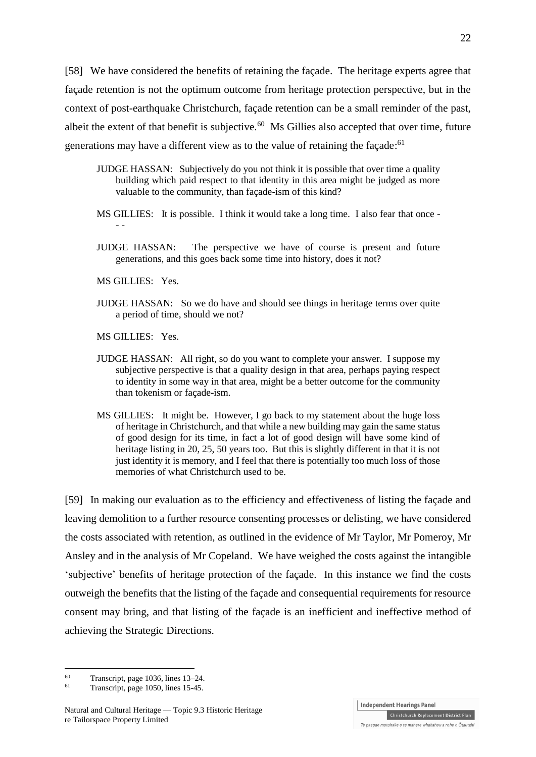[58] We have considered the benefits of retaining the façade. The heritage experts agree that façade retention is not the optimum outcome from heritage protection perspective, but in the context of post-earthquake Christchurch, façade retention can be a small reminder of the past, albeit the extent of that benefit is subjective. $^{60}$  Ms Gillies also accepted that over time, future generations may have a different view as to the value of retaining the façade:<sup>61</sup>

- JUDGE HASSAN: Subjectively do you not think it is possible that over time a quality building which paid respect to that identity in this area might be judged as more valuable to the community, than façade-ism of this kind?
- MS GILLIES: It is possible. I think it would take a long time. I also fear that once - -
- JUDGE HASSAN: The perspective we have of course is present and future generations, and this goes back some time into history, does it not?
- MS GILLIES: Yes.
- JUDGE HASSAN: So we do have and should see things in heritage terms over quite a period of time, should we not?

MS GILLIES: Yes.

- JUDGE HASSAN: All right, so do you want to complete your answer. I suppose my subjective perspective is that a quality design in that area, perhaps paying respect to identity in some way in that area, might be a better outcome for the community than tokenism or façade-ism.
- MS GILLIES: It might be. However, I go back to my statement about the huge loss of heritage in Christchurch, and that while a new building may gain the same status of good design for its time, in fact a lot of good design will have some kind of heritage listing in 20, 25, 50 years too. But this is slightly different in that it is not just identity it is memory, and I feel that there is potentially too much loss of those memories of what Christchurch used to be.

[59] In making our evaluation as to the efficiency and effectiveness of listing the façade and leaving demolition to a further resource consenting processes or delisting, we have considered the costs associated with retention, as outlined in the evidence of Mr Taylor, Mr Pomeroy, Mr Ansley and in the analysis of Mr Copeland. We have weighed the costs against the intangible 'subjective' benefits of heritage protection of the façade. In this instance we find the costs outweigh the benefits that the listing of the façade and consequential requirements for resource consent may bring, and that listing of the façade is an inefficient and ineffective method of achieving the Strategic Directions.

<u>.</u>

**Independent Hearings Panel** 

 $^{60}$  Transcript, page 1036, lines 13–24.<br> $^{61}$  Transcript, page 1050, lines 15.45

Transcript, page 1050, lines 15-45.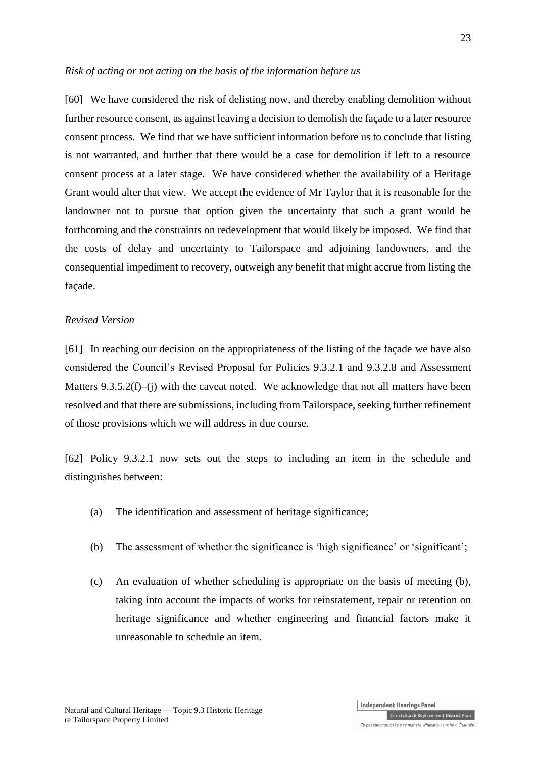*Risk of acting or not acting on the basis of the information before us*

[60] We have considered the risk of delisting now, and thereby enabling demolition without further resource consent, as against leaving a decision to demolish the façade to a later resource consent process. We find that we have sufficient information before us to conclude that listing is not warranted, and further that there would be a case for demolition if left to a resource consent process at a later stage. We have considered whether the availability of a Heritage Grant would alter that view. We accept the evidence of Mr Taylor that it is reasonable for the landowner not to pursue that option given the uncertainty that such a grant would be forthcoming and the constraints on redevelopment that would likely be imposed. We find that the costs of delay and uncertainty to Tailorspace and adjoining landowners, and the consequential impediment to recovery, outweigh any benefit that might accrue from listing the façade.

#### *Revised Version*

[61] In reaching our decision on the appropriateness of the listing of the façade we have also considered the Council's Revised Proposal for Policies 9.3.2.1 and 9.3.2.8 and Assessment Matters 9.3.5.2(f)–(j) with the caveat noted. We acknowledge that not all matters have been resolved and that there are submissions, including from Tailorspace, seeking further refinement of those provisions which we will address in due course.

[62] Policy 9.3.2.1 now sets out the steps to including an item in the schedule and distinguishes between:

- (a) The identification and assessment of heritage significance;
- (b) The assessment of whether the significance is 'high significance' or 'significant';
- (c) An evaluation of whether scheduling is appropriate on the basis of meeting (b), taking into account the impacts of works for reinstatement, repair or retention on heritage significance and whether engineering and financial factors make it unreasonable to schedule an item.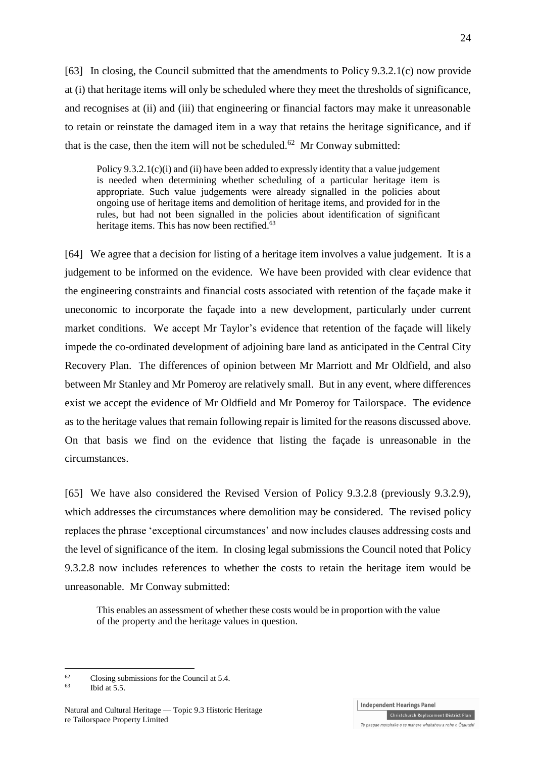[63] In closing, the Council submitted that the amendments to Policy 9.3.2.1(c) now provide at (i) that heritage items will only be scheduled where they meet the thresholds of significance, and recognises at (ii) and (iii) that engineering or financial factors may make it unreasonable to retain or reinstate the damaged item in a way that retains the heritage significance, and if that is the case, then the item will not be scheduled. $62$  Mr Conway submitted:

Policy 9.3.2.1(c)(i) and (ii) have been added to expressly identity that a value judgement is needed when determining whether scheduling of a particular heritage item is appropriate. Such value judgements were already signalled in the policies about ongoing use of heritage items and demolition of heritage items, and provided for in the rules, but had not been signalled in the policies about identification of significant heritage items. This has now been rectified.<sup>63</sup>

[64] We agree that a decision for listing of a heritage item involves a value judgement. It is a judgement to be informed on the evidence. We have been provided with clear evidence that the engineering constraints and financial costs associated with retention of the façade make it uneconomic to incorporate the façade into a new development, particularly under current market conditions. We accept Mr Taylor's evidence that retention of the façade will likely impede the co-ordinated development of adjoining bare land as anticipated in the Central City Recovery Plan. The differences of opinion between Mr Marriott and Mr Oldfield, and also between Mr Stanley and Mr Pomeroy are relatively small. But in any event, where differences exist we accept the evidence of Mr Oldfield and Mr Pomeroy for Tailorspace. The evidence as to the heritage values that remain following repair is limited for the reasons discussed above. On that basis we find on the evidence that listing the façade is unreasonable in the circumstances.

[65] We have also considered the Revised Version of Policy 9.3.2.8 (previously 9.3.2.9), which addresses the circumstances where demolition may be considered. The revised policy replaces the phrase 'exceptional circumstances' and now includes clauses addressing costs and the level of significance of the item. In closing legal submissions the Council noted that Policy 9.3.2.8 now includes references to whether the costs to retain the heritage item would be unreasonable. Mr Conway submitted:

This enables an assessment of whether these costs would be in proportion with the value of the property and the heritage values in question.

<sup>62</sup> Closing submissions for the Council at 5.4.<br><sup>63</sup>

<u>.</u>

24

**Independent Hearings Panel** Christchurch Replacement District Plan

Te paepae motuhake o te mahere whakahou a rohe o Ōtautahi

Ibid at  $5.5$ .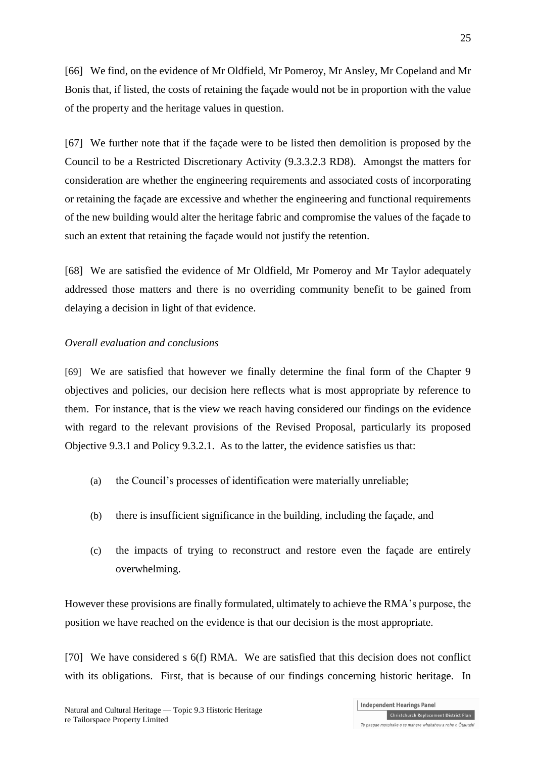[66] We find, on the evidence of Mr Oldfield, Mr Pomeroy, Mr Ansley, Mr Copeland and Mr Bonis that, if listed, the costs of retaining the façade would not be in proportion with the value of the property and the heritage values in question.

[67] We further note that if the façade were to be listed then demolition is proposed by the Council to be a Restricted Discretionary Activity (9.3.3.2.3 RD8). Amongst the matters for consideration are whether the engineering requirements and associated costs of incorporating or retaining the façade are excessive and whether the engineering and functional requirements of the new building would alter the heritage fabric and compromise the values of the façade to such an extent that retaining the façade would not justify the retention.

[68] We are satisfied the evidence of Mr Oldfield, Mr Pomeroy and Mr Taylor adequately addressed those matters and there is no overriding community benefit to be gained from delaying a decision in light of that evidence.

# *Overall evaluation and conclusions*

[69] We are satisfied that however we finally determine the final form of the Chapter 9 objectives and policies, our decision here reflects what is most appropriate by reference to them. For instance, that is the view we reach having considered our findings on the evidence with regard to the relevant provisions of the Revised Proposal, particularly its proposed Objective 9.3.1 and Policy 9.3.2.1. As to the latter, the evidence satisfies us that:

- (a) the Council's processes of identification were materially unreliable;
- (b) there is insufficient significance in the building, including the façade, and
- (c) the impacts of trying to reconstruct and restore even the façade are entirely overwhelming.

However these provisions are finally formulated, ultimately to achieve the RMA's purpose, the position we have reached on the evidence is that our decision is the most appropriate.

[70] We have considered s 6(f) RMA. We are satisfied that this decision does not conflict with its obligations. First, that is because of our findings concerning historic heritage. In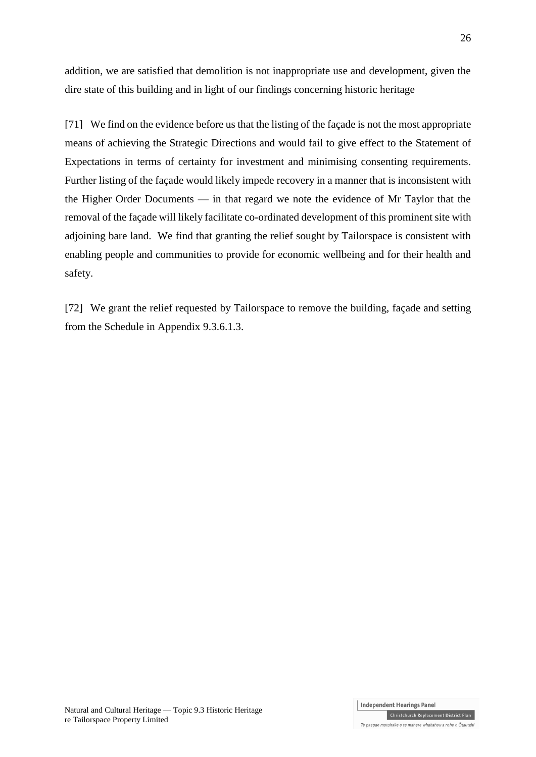addition, we are satisfied that demolition is not inappropriate use and development, given the dire state of this building and in light of our findings concerning historic heritage

[71] We find on the evidence before us that the listing of the façade is not the most appropriate means of achieving the Strategic Directions and would fail to give effect to the Statement of Expectations in terms of certainty for investment and minimising consenting requirements. Further listing of the façade would likely impede recovery in a manner that is inconsistent with the Higher Order Documents — in that regard we note the evidence of Mr Taylor that the removal of the façade will likely facilitate co-ordinated development of this prominent site with adjoining bare land. We find that granting the relief sought by Tailorspace is consistent with enabling people and communities to provide for economic wellbeing and for their health and safety.

[72] We grant the relief requested by Tailorspace to remove the building, façade and setting from the Schedule in Appendix 9.3.6.1.3.

Te paepae motuhake o te mahere whakahou a rohe o Ōtautahi